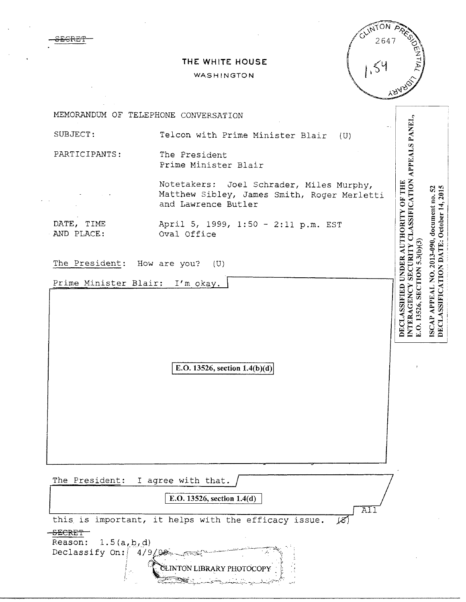OLINTON **A** 2647  $154$ 

## **THE WHITE HOUSE**

## WASHINGTON

|                                 |                                                                                                                | $Y_{\mathcal{P},d}$                                                                                                        |                                                                                       |
|---------------------------------|----------------------------------------------------------------------------------------------------------------|----------------------------------------------------------------------------------------------------------------------------|---------------------------------------------------------------------------------------|
|                                 | MEMORANDUM OF TELEPHONE CONVERSATION                                                                           |                                                                                                                            |                                                                                       |
| SUBJECT:                        | Telcon with Prime Minister Blair<br>(U)                                                                        |                                                                                                                            |                                                                                       |
| PARTICIPANTS:                   | The President<br>Prime Minister Blair                                                                          |                                                                                                                            |                                                                                       |
|                                 | Notetakers: Joel Schrader, Miles Murphy,<br>Matthew Sibley, James Smith, Roger Merletti<br>and Lawrence Butler |                                                                                                                            |                                                                                       |
| DATE, TIME<br>AND PLACE:        | April 5, 1999, 1:50 - 2:11 p.m. EST<br>Oval Office                                                             |                                                                                                                            |                                                                                       |
| The President: How are you? (U) |                                                                                                                |                                                                                                                            |                                                                                       |
| Prime Minister Blair: I'm okay. |                                                                                                                |                                                                                                                            |                                                                                       |
|                                 |                                                                                                                | INTERAGENCY SECURITY CLASSIFICATION APPEALS PANEL,<br>DECLASSIFIED UNDER AUTHORITY OF THE<br>E.O. 13526, SECTION 5.3(b)(3) | DECLASSIFICATION DATE: October 14, 2015<br>ISCAP APPEAL NO. 2013-090, document no. 52 |
|                                 | E.O. 13526, section $1.4(b)(d)$                                                                                |                                                                                                                            |                                                                                       |
|                                 |                                                                                                                |                                                                                                                            |                                                                                       |
| The President:                  | I agree with that.                                                                                             |                                                                                                                            |                                                                                       |
|                                 | E.O. 13526, section 1.4(d)<br>AI1                                                                              |                                                                                                                            |                                                                                       |
|                                 | this is important, it helps with the efficacy issue.<br>$\cancel{8}$                                           |                                                                                                                            |                                                                                       |

S<del>ECRET</del>

aE:CRE'f

 $\frac{1.5(a, b, d)}{a}$ Declassify On:  $4/9/98$ 

GLINTON LIBRARY PHOTOCOPY

'~~~::~..:>;\$~t..:::~"--~---3·-~\_h\_,~-~~~.::\_ -.~..-·--·-\~;.""~).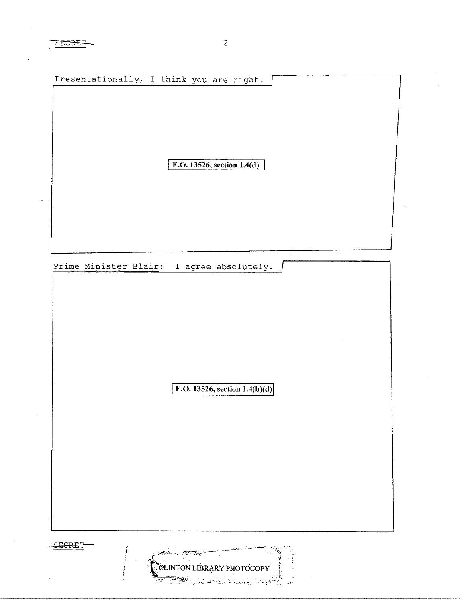SECRET 2

Presentationally, I think you are right. I **E.O. 13526, section 1.4(d)**  Prime Minister Blair: I agree absolutely. **E.O. 13526, section 1.4(b)(d)** SECRET

NTON LIBRARY PHOTOCOPY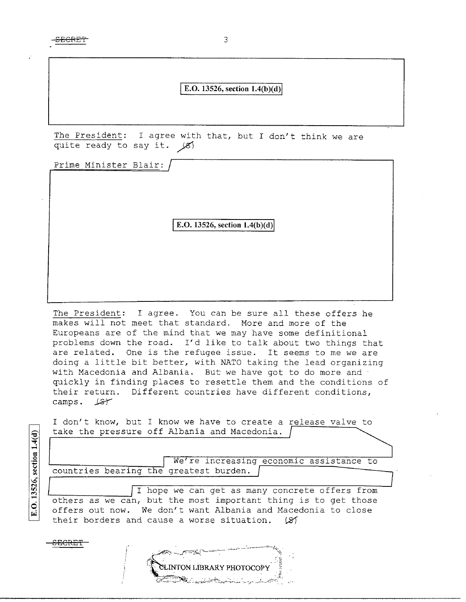**E.O. 13526, section 1.4(b)(d)** 

The President: I agree with that, but I don't think we are quite ready to say it.  $\angle$ 8)

Prime Minister Blair:

**E.O. 13526, section 1.4(b)(d)** 

The President: I agree. You can be sure all these offers he makes will not meet that standard. More and more of the Europeans are of the mind that we may have some definitional problems down the road. I'd like to talk about two things that are related. One is the refugee issue. It seems to me we are doing a little bit better, with NATO taking the lead organizing with Macedonia and Albania. But we have got to do more and quickly in finding places to resettle them and the conditions of their return. Different countries have different conditions, camps. 187

I don't know, but I know we have to create a release valve to take the pressure off Albania and Macedonia.

We're increasing economic assistance to countries bearing the greatest burden. |

I hope we can get as many concrete offers from others as we can, but the most important thing is to get those offers out now. We don't want Albania and Macedonia to close their borders and cause a worse situation. (S1

 $\tt{s}_{\rm{ECRET}}$ 

E.O. 13526, section 1.4(d)

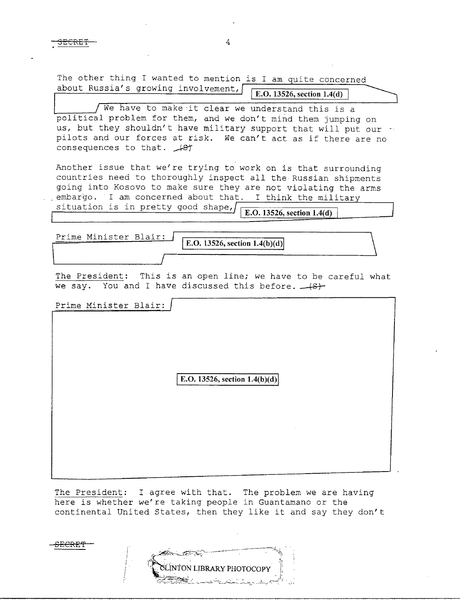$\overline{\text{SECRET}}$  4

**SECRE'l'** 

| The other thing I wanted to mention is I am quite concerned<br>about Russia's growing involvement,<br>E.O. 13526, section 1.4(d)                                                                                                                                                                                                    |  |  |  |
|-------------------------------------------------------------------------------------------------------------------------------------------------------------------------------------------------------------------------------------------------------------------------------------------------------------------------------------|--|--|--|
|                                                                                                                                                                                                                                                                                                                                     |  |  |  |
| We have to make it clear we understand this is a<br>political problem for them, and we don't mind them jumping on<br>us, but they shouldn't have military support that will put our<br>pilots and our forces at risk. We can't act as if there are no<br>consequences to that. Asy                                                  |  |  |  |
| Another issue that we're trying to work on is that surrounding<br>countries need to thoroughly inspect all the Russian shipments<br>going into Kosovo to make sure they are not violating the arms<br>embargo. I am concerned about that. I think the military<br>situation is in pretty good shape,/<br>E.O. 13526, section 1.4(d) |  |  |  |
|                                                                                                                                                                                                                                                                                                                                     |  |  |  |
| Prime Minister Blair:<br>E.O. 13526, section $1.4(b)(d)$                                                                                                                                                                                                                                                                            |  |  |  |
|                                                                                                                                                                                                                                                                                                                                     |  |  |  |
|                                                                                                                                                                                                                                                                                                                                     |  |  |  |
| The President: This is an open line; we have to be careful what<br>we say. You and I have discussed this before. $\sqrt{s}$                                                                                                                                                                                                         |  |  |  |
| Prime Minister Blair:                                                                                                                                                                                                                                                                                                               |  |  |  |
| E.O. 13526, section $1.4(b)(d)$                                                                                                                                                                                                                                                                                                     |  |  |  |
|                                                                                                                                                                                                                                                                                                                                     |  |  |  |

The President: I agree with that. The problem we are having here is whether we're taking people in Guantamano or the continental United States, then they like it and say they don't

**INTON LIBRARY PHOTOCOPY** f.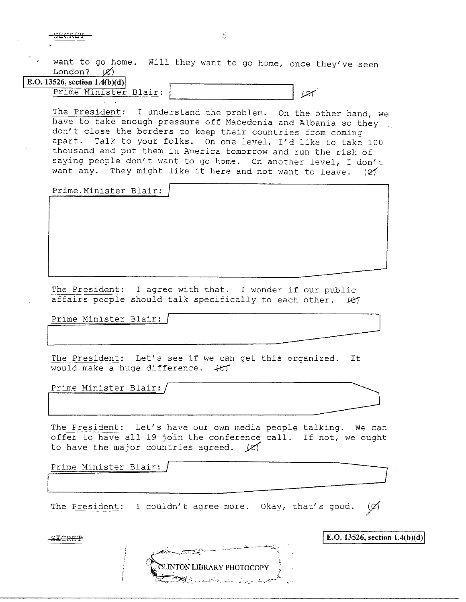SECRET 5

want to go home. Will they want to go home, once they've seen London?  $(\mathscr{C})$ **E.O. 13526, section 1.4(b)(d)** 

Prime Minister Blair: | Ver

The President: I understand the problem. On the other hand, we have to take enough pressure off Macedonia and Albania so they don't close the borders to keep their countries from coming apart. Talk to your folks. On one level, I'd like to take 100 thousand and put them in America tomorrow and run the risk of saying people don't want to go home. On another level, I don't want any. They might like it here and not want to leave.  $(2)$ 

Prime-Minister Blair:

The President: I agree with that. I wonder if our public affairs people should talk specifically to each other. *ke1* 

Prime Minister Blair: /

The President: Let's see if we can get this organized. It would make a huge difference.  $+CT$ Prime Minister Blair: /<br>The President: Let's see if we can get this organized. It<br>would make a huge difference.  $\angle$ et<br>Prime Minister Blair: /<br>The President: Let's have our own media people talking. We can

Prime Minister Blair:/ ~

The President: Let's have our own media people talking. We can offer to have all 19 join the conference call. If not, we ought to have the major countries agreed.  $\cancel{\mathscr{L}}$ 

Prime Minister Blair:

The President: I couldn't agree more. Okay, that's good. (Ø)

**CLINTON LIBRARY PHOTOCOPY** 

 $\mathbb{E} \text{E.0.13526, section 1.4(b)(d)}$